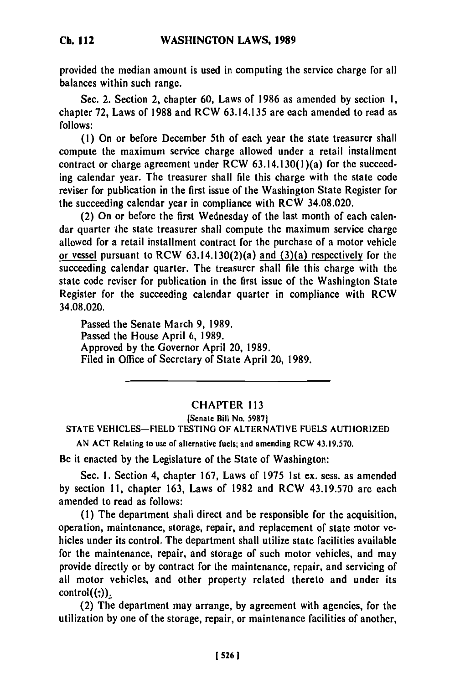**Ch. 112**

provided the median amount is used in computing the service charge for all balances within such range.

Sec. 2. Section **2,** chapter **60,** Laws of **1986** as amended **by** section **1,** chapter **72,** Laws of **1988** and RCW **63.14.135** are each amended to read as **follows:**

**(1)** On or before December 5th of each year the state treasurer shall compute the maximum service charge allowed under a retail installment contract or charge agreement under RCW 63.14.130(1)(a) for the succeeding calendar year. The treasurer shall file this charge with the state code reviser for publication in the first issue of the Washington State Register for the succeeding calendar year in compliance with RCW 34.08.020.

(2) On or before the first Wednesday of the last month of each calendar quarter the state treasurer shall compute the maximum service charge allowed for a retail installment contract for the purchase of a motor vehicle or vessel pursuant to RCW 63.14.130(2)(a) and (3)(a) respectively for the succeeding calendar quarter. The treasurer shall file this charge with the state code reviser for publication in the first issue of the Washington State Register for the succeeding calendar quarter in compliance with RCW 34.08.020.

Passed the Senate March **9, 1989.** Passed the House April **6, 1989.** Approved **by** the Governor April 20, **1989.** Filed in Office of Secretary of State April 20, **1989.**

## CHAPTER **<sup>113</sup>**

[Senate Bill No. **59871 STATE VEHICLES-FIELD TESTING** OF ALTERNATIVE **FUELS** AUTHORIZED

**AN ACT** Relating to use of alternative fuels; and amending RCW **43.19.570.**

Be it enacted **by** the Legislature of the State of Washington:

Sec. **1.** Section 4, chapter **167,** Laws of **1975 Ist** ex. sess. as amended **by** section **11,** chapter **163,** Laws of **1982** and RCW **43.19.570** are each amended to read as follows:

**(1)** The department shall direct and be responsible for the acquisition, operation, maintenance, storage, repair, and replacement of state motor vehicles under its control. The department shall utilize state facilities available for the maintenance, repair, and storage of such motor vehicles, and may provide directly or **by** contract for the maintenance, repair, and servicing of all motor vehicles, and other property related thereto and under its  $control((:))_2$ <br>(2) The department may arrange, by agreement with agencies, for the

utilization **by** one of the storage, repair, or maintenance facilities of another,